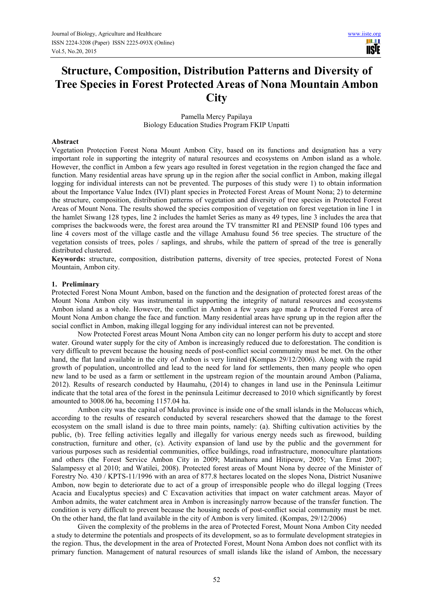H I **TISTE** 

# **Structure, Composition, Distribution Patterns and Diversity of Tree Species in Forest Protected Areas of Nona Mountain Ambon City**

Pamella Mercy Papilaya Biology Education Studies Program FKIP Unpatti

#### **Abstract**

Vegetation Protection Forest Nona Mount Ambon City, based on its functions and designation has a very important role in supporting the integrity of natural resources and ecosystems on Ambon island as a whole. However, the conflict in Ambon a few years ago resulted in forest vegetation in the region changed the face and function. Many residential areas have sprung up in the region after the social conflict in Ambon, making illegal logging for individual interests can not be prevented. The purposes of this study were 1) to obtain information about the Importance Value Index (IVI) plant species in Protected Forest Areas of Mount Nona; 2) to determine the structure, composition, distribution patterns of vegetation and diversity of tree species in Protected Forest Areas of Mount Nona. The results showed the species composition of vegetation on forest vegetation in line 1 in the hamlet Siwang 128 types, line 2 includes the hamlet Series as many as 49 types, line 3 includes the area that comprises the backwoods were, the forest area around the TV transmitter RI and PENSIP found 106 types and line 4 covers most of the village castle and the village Amahusu found 56 tree species. The structure of the vegetation consists of trees, poles / saplings, and shrubs, while the pattern of spread of the tree is generally distributed clustered.

**Keywords:** structure, composition, distribution patterns, diversity of tree species, protected Forest of Nona Mountain, Ambon city.

# **1. Preliminary**

Protected Forest Nona Mount Ambon, based on the function and the designation of protected forest areas of the Mount Nona Ambon city was instrumental in supporting the integrity of natural resources and ecosystems Ambon island as a whole. However, the conflict in Ambon a few years ago made a Protected Forest area of Mount Nona Ambon change the face and function. Many residential areas have sprung up in the region after the social conflict in Ambon, making illegal logging for any individual interest can not be prevented.

Now Protected Forest areas Mount Nona Ambon city can no longer perform his duty to accept and store water. Ground water supply for the city of Ambon is increasingly reduced due to deforestation. The condition is very difficult to prevent because the housing needs of post-conflict social community must be met. On the other hand, the flat land available in the city of Ambon is very limited (Kompas 29/12/2006). Along with the rapid growth of population, uncontrolled and lead to the need for land for settlements, then many people who open new land to be used as a farm or settlement in the upstream region of the mountain around Ambon (Paliama, 2012). Results of research conducted by Haumahu, (2014) to changes in land use in the Peninsula Leitimur indicate that the total area of the forest in the peninsula Leitimur decreased to 2010 which significantly by forest amounted to 3008.06 ha, becoming 1157.04 ha.

Ambon city was the capital of Maluku province is inside one of the small islands in the Moluccas which, according to the results of research conducted by several researchers showed that the damage to the forest ecosystem on the small island is due to three main points, namely: (a). Shifting cultivation activities by the public, (b). Tree felling activities legally and illegally for various energy needs such as firewood, building construction, furniture and other, (c). Activity expansion of land use by the public and the government for various purposes such as residential communities, office buildings, road infrastructure, monoculture plantations and others (the Forest Service Ambon City in 2009; Matinahoru and Hitipeuw, 2005; Van Ernst 2007; Salampessy et al 2010; and Watilei, 2008). Protected forest areas of Mount Nona by decree of the Minister of Forestry No. 430 / KPTS-11/1996 with an area of 877.8 hectares located on the slopes Nona, District Nusaniwe Ambon, now begin to deteriorate due to act of a group of irresponsible people who do illegal logging (Trees Acacia and Eucalyptus species) and C Excavation activities that impact on water catchment areas. Mayor of Ambon admits, the water catchment area in Ambon is increasingly narrow because of the transfer function. The condition is very difficult to prevent because the housing needs of post-conflict social community must be met. On the other hand, the flat land available in the city of Ambon is very limited. (Kompas, 29/12/2006)

Given the complexity of the problems in the area of Protected Forest, Mount Nona Ambon City needed a study to determine the potentials and prospects of its development, so as to formulate development strategies in the region. Thus, the development in the area of Protected Forest, Mount Nona Ambon does not conflict with its primary function. Management of natural resources of small islands like the island of Ambon, the necessary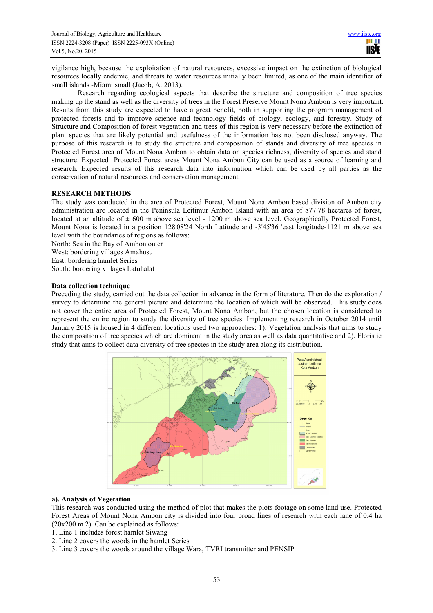vigilance high, because the exploitation of natural resources, excessive impact on the extinction of biological resources locally endemic, and threats to water resources initially been limited, as one of the main identifier of small islands -Miami small (Jacob, A. 2013).

Research regarding ecological aspects that describe the structure and composition of tree species making up the stand as well as the diversity of trees in the Forest Preserve Mount Nona Ambon is very important. Results from this study are expected to have a great benefit, both in supporting the program management of protected forests and to improve science and technology fields of biology, ecology, and forestry. Study of Structure and Composition of forest vegetation and trees of this region is very necessary before the extinction of plant species that are likely potential and usefulness of the information has not been disclosed anyway. The purpose of this research is to study the structure and composition of stands and diversity of tree species in Protected Forest area of Mount Nona Ambon to obtain data on species richness, diversity of species and stand structure. Expected Protected Forest areas Mount Nona Ambon City can be used as a source of learning and research. Expected results of this research data into information which can be used by all parties as the conservation of natural resources and conservation management.

# **RESEARCH METHODS**

The study was conducted in the area of Protected Forest, Mount Nona Ambon based division of Ambon city administration are located in the Peninsula Leitimur Ambon Island with an area of 877.78 hectares of forest, located at an altitude of  $\pm 600$  m above sea level - 1200 m above sea level. Geographically Protected Forest, Mount Nona is located in a position 128'08'24 North Latitude and -3'45'36 'east longitude-1121 m above sea level with the boundaries of regions as follows:

North: Sea in the Bay of Ambon outer West: bordering villages Amahusu East: bordering hamlet Series

South: bordering villages Latuhalat

# **Data collection technique**

Preceding the study, carried out the data collection in advance in the form of literature. Then do the exploration / survey to determine the general picture and determine the location of which will be observed. This study does not cover the entire area of Protected Forest, Mount Nona Ambon, but the chosen location is considered to represent the entire region to study the diversity of tree species. Implementing research in October 2014 until January 2015 is housed in 4 different locations used two approaches: 1). Vegetation analysis that aims to study the composition of tree species which are dominant in the study area as well as data quantitative and 2). Floristic study that aims to collect data diversity of tree species in the study area along its distribution.



# **a). Analysis of Vegetation**

This research was conducted using the method of plot that makes the plots footage on some land use. Protected Forest Areas of Mount Nona Ambon city is divided into four broad lines of research with each lane of 0.4 ha (20x200 m 2). Can be explained as follows:

1, Line 1 includes forest hamlet Siwang

- 2. Line 2 covers the woods in the hamlet Series
- 3. Line 3 covers the woods around the village Wara, TVRI transmitter and PENSIP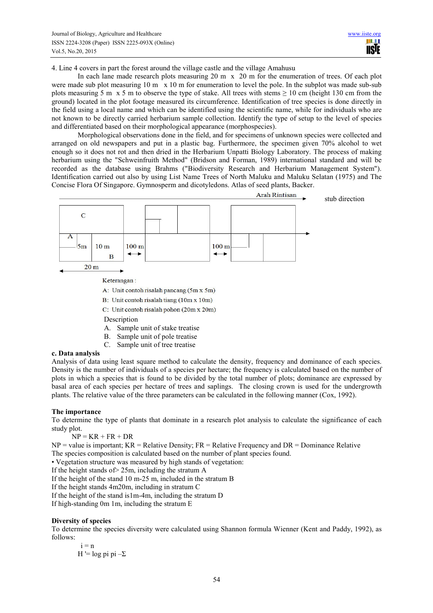4. Line 4 covers in part the forest around the village castle and the village Amahusu

In each lane made research plots measuring  $20 \text{ m} \times 20 \text{ m}$  for the enumeration of trees. Of each plot were made sub plot measuring 10 m  $\bar{x}$  10 m for enumeration to level the pole. In the subplot was made sub-sub plots measuring 5 m x 5 m to observe the type of stake. All trees with stems  $\geq 10$  cm (height 130 cm from the ground) located in the plot footage measured its circumference. Identification of tree species is done directly in the field using a local name and which can be identified using the scientific name, while for individuals who are not known to be directly carried herbarium sample collection. Identify the type of setup to the level of species and differentiated based on their morphological appearance (morphospecies).

Morphological observations done in the field, and for specimens of unknown species were collected and arranged on old newspapers and put in a plastic bag. Furthermore, the specimen given 70% alcohol to wet enough so it does not rot and then dried in the Herbarium Unpatti Biology Laboratory. The process of making herbarium using the "Schweinfruith Method" (Bridson and Forman, 1989) international standard and will be recorded as the database using Brahms ("Biodiversity Research and Herbarium Management System"). Identification carried out also by using List Name Trees of North Maluku and Maluku Selatan (1975) and The Concise Flora Of Singapore. Gymnosperm and dicotyledons. Atlas of seed plants, Backer.



A: Unit contoh risalah pancang (5m x 5m)

- B: Unit contoh risalah tiang (10m x 10m)
- C: Unit contoh risalah pohon (20m x 20m)
- **Description**
- A. Sample unit of stake treatise
- B. Sample unit of pole treatise
- C. Sample unit of tree treatise

# **c. Data analysis**

Analysis of data using least square method to calculate the density, frequency and dominance of each species. Density is the number of individuals of a species per hectare; the frequency is calculated based on the number of plots in which a species that is found to be divided by the total number of plots; dominance are expressed by basal area of each species per hectare of trees and saplings. The closing crown is used for the undergrowth plants. The relative value of the three parameters can be calculated in the following manner (Cox, 1992).

#### **The importance**

To determine the type of plants that dominate in a research plot analysis to calculate the significance of each study plot.

 $NP = KR + FR + DR$ 

 $NP =$  value is important;  $KR =$  Relative Density;  $FR =$  Relative Frequency and  $DR =$  Dominance Relative The species composition is calculated based on the number of plant species found.

• Vegetation structure was measured by high stands of vegetation:

If the height stands of  $> 25$ m, including the stratum A

If the height of the stand 10 m-25 m, included in the stratum B

If the height stands 4m20m, including in stratum C

If the height of the stand is1m-4m, including the stratum D

If high-standing 0m 1m, including the stratum E

#### **Diversity of species**

To determine the species diversity were calculated using Shannon formula Wienner (Kent and Paddy, 1992), as follows:

$$
i = n
$$
  
H' = log pi pi – $\Sigma$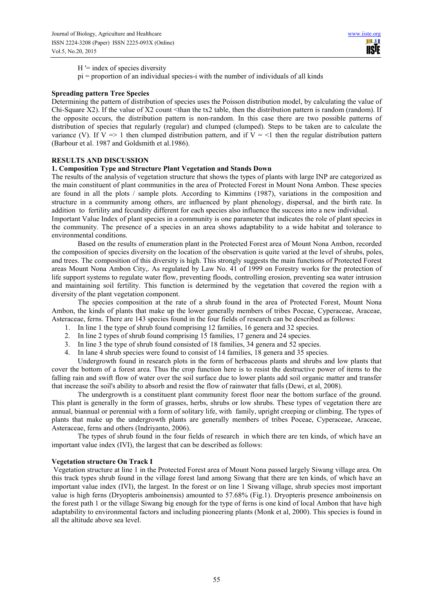$H =$  index of species diversity

pi = proportion of an individual species-i with the number of individuals of all kinds

## **Spreading pattern Tree Species**

Determining the pattern of distribution of species uses the Poisson distribution model, by calculating the value of Chi-Square X2). If the value of X2 count <than the tx2 table, then the distribution pattern is random (random). If the opposite occurs, the distribution pattern is non-random. In this case there are two possible patterns of distribution of species that regularly (regular) and clumped (clumped). Steps to be taken are to calculate the variance (V). If  $V \Rightarrow 1$  then clumped distribution pattern, and if  $V = \le 1$  then the regular distribution pattern (Barbour et al. 1987 and Goldsmith et al.1986).

## **RESULTS AND DISCUSSION**

## **1. Composition Type and Structure Plant Vegetation and Stands Down**

The results of the analysis of vegetation structure that shows the types of plants with large INP are categorized as the main constituent of plant communities in the area of Protected Forest in Mount Nona Ambon. These species are found in all the plots / sample plots. According to Kimmins (1987), variations in the composition and structure in a community among others, are influenced by plant phenology, dispersal, and the birth rate. In addition to fertility and fecundity different for each species also influence the success into a new individual. Important Value Index of plant species in a community is one parameter that indicates the role of plant species in

the community. The presence of a species in an area shows adaptability to a wide habitat and tolerance to environmental conditions.

Based on the results of enumeration plant in the Protected Forest area of Mount Nona Ambon, recorded the composition of species diversity on the location of the observation is quite varied at the level of shrubs, poles, and trees. The composition of this diversity is high. This strongly suggests the main functions of Protected Forest areas Mount Nona Ambon City,. As regulated by Law No. 41 of 1999 on Forestry works for the protection of life support systems to regulate water flow, preventing floods, controlling erosion, preventing sea water intrusion and maintaining soil fertility. This function is determined by the vegetation that covered the region with a diversity of the plant vegetation component.

The species composition at the rate of a shrub found in the area of Protected Forest, Mount Nona Ambon, the kinds of plants that make up the lower generally members of tribes Poceae, Cyperaceae, Araceae, Asteraceae, ferns. There are 143 species found in the four fields of research can be described as follows:

- 1. In line 1 the type of shrub found comprising 12 families, 16 genera and 32 species.
- 2. In line 2 types of shrub found comprising 15 families, 17 genera and 24 species.
- 3. In line 3 the type of shrub found consisted of 18 families, 34 genera and 52 species.
- 4. In lane 4 shrub species were found to consist of 14 families, 18 genera and 35 species.

Undergrowth found in research plots in the form of herbaceous plants and shrubs and low plants that cover the bottom of a forest area. Thus the crop function here is to resist the destructive power of items to the falling rain and swift flow of water over the soil surface due to lower plants add soil organic matter and transfer that increase the soil's ability to absorb and resist the flow of rainwater that falls (Dewi, et al, 2008).

The undergrowth is a constituent plant community forest floor near the bottom surface of the ground. This plant is generally in the form of grasses, herbs, shrubs or low shrubs. These types of vegetation there are annual, biannual or perennial with a form of solitary life, with family, upright creeping or climbing. The types of plants that make up the undergrowth plants are generally members of tribes Poceae, Cyperaceae, Araceae, Asteraceae, ferns and others (Indriyanto, 2006).

The types of shrub found in the four fields of research in which there are ten kinds, of which have an important value index (IVI), the largest that can be described as follows:

## **Vegetation structure On Track I**

 Vegetation structure at line 1 in the Protected Forest area of Mount Nona passed largely Siwang village area. On this track types shrub found in the village forest land among Siwang that there are ten kinds, of which have an important value index (IVI), the largest. In the forest or on line 1 Siwang village, shrub species most important value is high ferns (Dryopteris amboinensis) amounted to 57.68% (Fig.1). Dryopteris presence amboinensis on the forest path 1 or the village Siwang big enough for the type of ferns is one kind of local Ambon that have high adaptability to environmental factors and including pioneering plants (Monk et al, 2000). This species is found in all the altitude above sea level.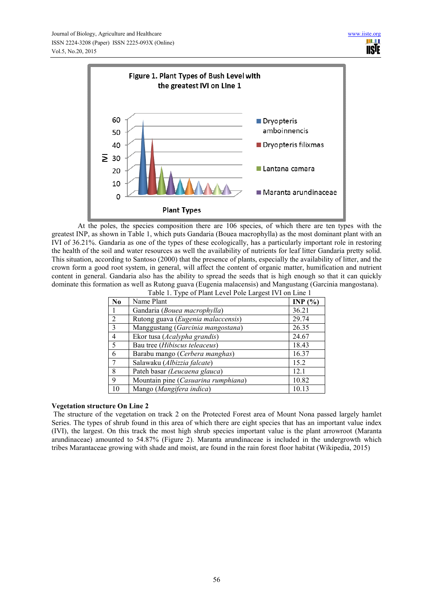

At the poles, the species composition there are 106 species, of which there are ten types with the greatest INP, as shown in Table 1, which puts Gandaria (Bouea macrophylla) as the most dominant plant with an IVI of 36.21%. Gandaria as one of the types of these ecologically, has a particularly important role in restoring the health of the soil and water resources as well the availability of nutrients for leaf litter Gandaria pretty solid. This situation, according to Santoso (2000) that the presence of plants, especially the availability of litter, and the crown form a good root system, in general, will affect the content of organic matter, humification and nutrient content in general. Gandaria also has the ability to spread the seeds that is high enough so that it can quickly dominate this formation as well as Rutong guava (Eugenia malacensis) and Mangustang (Garcinia mangostana).

| Table 1. Type of Plant Level Pole Largest IVI on Line 1 |                                     |           |  |  |
|---------------------------------------------------------|-------------------------------------|-----------|--|--|
| N <sub>0</sub>                                          | Name Plant                          | INP $(%)$ |  |  |
|                                                         | Gandaria (Bouea macrophylla)        | 36.21     |  |  |
| 2                                                       | Rutong guava (Eugenia malaccensis)  | 29.74     |  |  |
| $\mathcal{E}$                                           | Manggustang (Garcinia mangostana)   | 26.35     |  |  |
| $\overline{4}$                                          | Ekor tusa (Acalypha grandis)        | 24.67     |  |  |
| 5                                                       | Bau tree (Hibiscus teleaceus)       | 18.43     |  |  |
| 6                                                       | Barabu mango (Cerbera manghas)      | 16.37     |  |  |
|                                                         | Salawaku (Albizzia falcate)         | 15.2      |  |  |
| 8                                                       | Pateh basar (Leucaena glauca)       | 12.1      |  |  |
| 9                                                       | Mountain pine (Casuarina rumphiana) | 10.82     |  |  |
| 10                                                      | Mango (Mangifera indica)            | 10.13     |  |  |

# **Vegetation structure On Line 2**

 The structure of the vegetation on track 2 on the Protected Forest area of Mount Nona passed largely hamlet Series. The types of shrub found in this area of which there are eight species that has an important value index (IVI), the largest. On this track the most high shrub species important value is the plant arrowroot (Maranta arundinaceae) amounted to 54.87% (Figure 2). Maranta arundinaceae is included in the undergrowth which tribes Marantaceae growing with shade and moist, are found in the rain forest floor habitat (Wikipedia, 2015)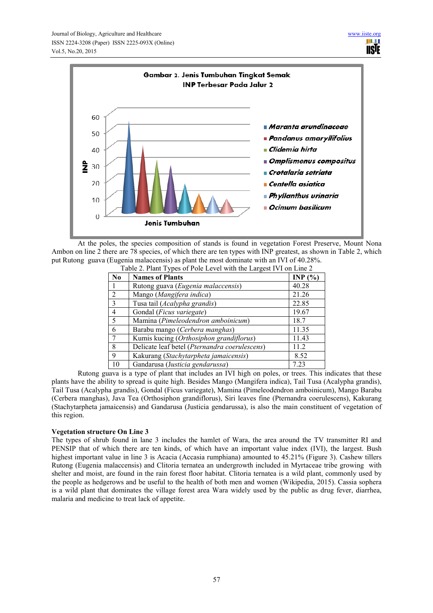

At the poles, the species composition of stands is found in vegetation Forest Preserve, Mount Nona Ambon on line 2 there are 78 species, of which there are ten types with INP greatest, as shown in Table 2, which put Rutong guava (Eugenia malaccensis) as plant the most dominate with an IVI of 40.28%.

| Table 2. Plant Types of Pole Level with the Largest IVI on Line 2 |                                               |           |  |  |
|-------------------------------------------------------------------|-----------------------------------------------|-----------|--|--|
| No.                                                               | <b>Names of Plants</b>                        | INP $(%)$ |  |  |
|                                                                   | Rutong guava (Eugenia malaccensis)            | 40.28     |  |  |
| 2                                                                 | Mango (Mangifera indica)                      | 21.26     |  |  |
| 3                                                                 | Tusa tail (Acalypha grandis)                  | 22.85     |  |  |
| $\overline{4}$                                                    | Gondal (Ficus variegate)                      | 19.67     |  |  |
| 5                                                                 | Mamina (Pimeleodendron amboinicum)            | 18.7      |  |  |
| 6                                                                 | Barabu mango (Cerbera manghas)                | 11.35     |  |  |
|                                                                   | Kumis kucing (Orthosiphon grandiflorus)       | 11.43     |  |  |
| 8                                                                 | Delicate leaf betel (Pternandra coerulescens) | 11.2      |  |  |
| 9                                                                 | Kakurang (Stachytarpheta jamaicensis)         | 8.52      |  |  |
| 10                                                                | Gandarusa (Justicia gendarussa)               | 7.23      |  |  |

Rutong guava is a type of plant that includes an IVI high on poles, or trees. This indicates that these plants have the ability to spread is quite high. Besides Mango (Mangifera indica), Tail Tusa (Acalypha grandis), Tail Tusa (Acalypha grandis), Gondal (Ficus variegate), Mamina (Pimeleodendron amboinicum), Mango Barabu (Cerbera manghas), Java Tea (Orthosiphon grandiflorus), Siri leaves fine (Pternandra coerulescens), Kakurang (Stachytarpheta jamaicensis) and Gandarusa (Justicia gendarussa), is also the main constituent of vegetation of this region.

# **Vegetation structure On Line 3**

The types of shrub found in lane 3 includes the hamlet of Wara, the area around the TV transmitter RI and PENSIP that of which there are ten kinds, of which have an important value index (IVI), the largest. Bush highest important value in line 3 is Acacia (Accasia rumphiana) amounted to 45.21% (Figure 3). Cashew tillers Rutong (Eugenia malaccensis) and Clitoria ternatea an undergrowth included in Myrtaceae tribe growing with shelter and moist, are found in the rain forest floor habitat. Clitoria ternatea is a wild plant, commonly used by the people as hedgerows and be useful to the health of both men and women (Wikipedia, 2015). Cassia sophera is a wild plant that dominates the village forest area Wara widely used by the public as drug fever, diarrhea, malaria and medicine to treat lack of appetite.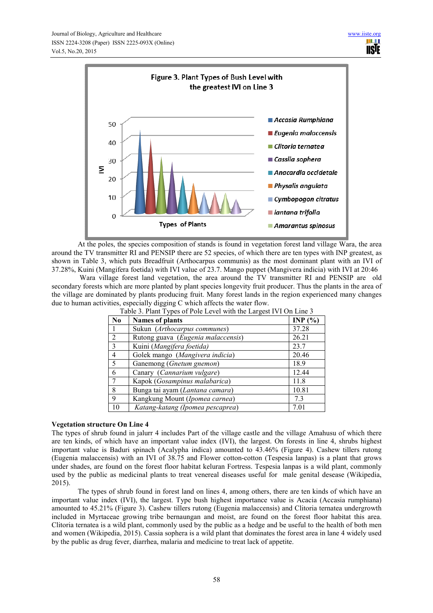

At the poles, the species composition of stands is found in vegetation forest land village Wara, the area around the TV transmitter RI and PENSIP there are 52 species, of which there are ten types with INP greatest, as shown in Table 3, which puts Breadfruit (Arthocarpus communis) as the most dominant plant with an IVI of 37.28%, Kuini (Mangifera foetida) with IVI value of 23.7. Mango puppet (Mangivera indicia) with IVI at 20:46

 Wara village forest land vegetation, the area around the TV transmitter RI and PENSIP are old secondary forests which are more planted by plant species longevity fruit producer. Thus the plants in the area of the village are dominated by plants producing fruit. Many forest lands in the region experienced many changes due to human activities, especially digging C which affects the water flow.

| N <sub>0</sub> | <b>Names of plants</b>             | INP $(%)$ |
|----------------|------------------------------------|-----------|
|                | Sukun (Arthocarpus communes)       | 37.28     |
| 2              | Rutong guava (Eugenia malaccensis) | 26.21     |
| $\overline{3}$ | Kuini (Mangifera foetida)          | 23.7      |
| $\overline{4}$ | Golek mango (Mangivera indicia)    | 20.46     |
| -5             | Ganemong (Gnetum gnemon)           | 18.9      |
| 6              | Canary (Cannarium vulgare)         | 12.44     |
|                | Kapok (Gosampinus malabarica)      | 11.8      |
| 8              | Bunga tai ayam (Lantana camara)    | 10.81     |
| 9              | Kangkung Mount (Ipomea carnea)     | 7.3       |
| 10             | Katang-katang (Ipomea pescaprea)   | 7.01      |

Table 3. Plant Types of Pole Level with the Largest IVI On Line 3

# **Vegetation structure On Line 4**

The types of shrub found in jalurr 4 includes Part of the village castle and the village Amahusu of which there are ten kinds, of which have an important value index (IVI), the largest. On forests in line 4, shrubs highest important value is Baduri spinach (Acalypha indica) amounted to 43.46% (Figure 4). Cashew tillers rutong (Eugenia malaccensis) with an IVI of 38.75 and Flower cotton-cotton (Tespesia lanpas) is a plant that grows under shades, are found on the forest floor habitat keluran Fortress. Tespesia lanpas is a wild plant, commonly used by the public as medicinal plants to treat venereal diseases useful for male genital desease (Wikipedia, 2015).

The types of shrub found in forest land on lines 4, among others, there are ten kinds of which have an important value index (IVI), the largest. Type bush highest importance value is Acacia (Accasia rumphiana) amounted to 45.21% (Figure 3). Cashew tillers rutong (Eugenia malaccensis) and Clitoria ternatea undergrowth included in Myrtaceae growing tribe bernaungan and moist, are found on the forest floor habitat this area. Clitoria ternatea is a wild plant, commonly used by the public as a hedge and be useful to the health of both men and women (Wikipedia, 2015). Cassia sophera is a wild plant that dominates the forest area in lane 4 widely used by the public as drug fever, diarrhea, malaria and medicine to treat lack of appetite.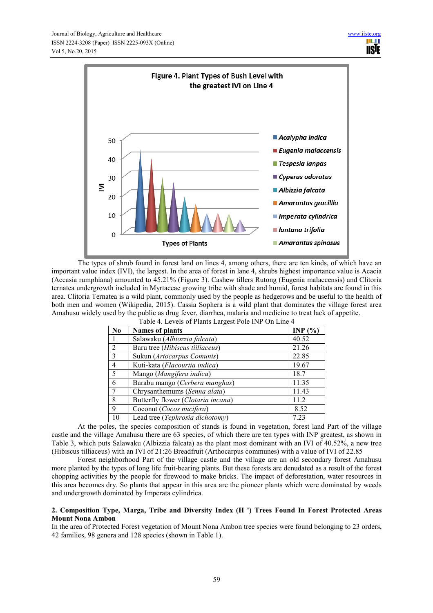

The types of shrub found in forest land on lines 4, among others, there are ten kinds, of which have an important value index (IVI), the largest. In the area of forest in lane 4, shrubs highest importance value is Acacia (Accasia rumphiana) amounted to 45.21% (Figure 3). Cashew tillers Rutong (Eugenia malaccensis) and Clitoria ternatea undergrowth included in Myrtaceae growing tribe with shade and humid, forest habitats are found in this area. Clitoria Ternatea is a wild plant, commonly used by the people as hedgerows and be useful to the health of both men and women (Wikipedia, 2015). Cassia Sophera is a wild plant that dominates the village forest area Amahusu widely used by the public as drug fever, diarrhea, malaria and medicine to treat lack of appetite.

| N <sub>0</sub> | <b>Names of plants</b>             | INP $(%)$ |
|----------------|------------------------------------|-----------|
|                | Salawaku (Albiozzia falcata)       | 40.52     |
| $\overline{2}$ | Baru tree (Hibiscus tiiliaceus)    | 21.26     |
| $\mathcal{E}$  | Sukun (Artocarpus Comunis)         | 22.85     |
| $\overline{4}$ | Kuti-kata (Flacourtia indica)      | 19.67     |
| 5              | Mango (Mangifera indica)           | 18.7      |
| 6              | Barabu mango (Cerbera manghas)     | 11.35     |
|                | Chrysanthemums (Senna alata)       | 11.43     |
| 8              | Butterfly flower (Clotaria incana) | 11.2      |
| 9              | Coconut (Cocos nucifera)           | 8.52      |
| 10             | Lead tree (Tephrosia dichotomy)    | 7 23      |

Table 4. Levels of Plants Largest Pole INP On Line 4

At the poles, the species composition of stands is found in vegetation, forest land Part of the village castle and the village Amahusu there are 63 species, of which there are ten types with INP greatest, as shown in Table 3, which puts Salawaku (Albizzia falcata) as the plant most dominant with an IVI of 40.52%, a new tree (Hibiscus tilliaceus) with an IVI of 21:26 Breadfruit (Arthocarpus communes) with a value of IVI of 22.85

Forest neighborhood Part of the village castle and the village are an old secondary forest Amahusu more planted by the types of long life fruit-bearing plants. But these forests are denudated as a result of the forest chopping activities by the people for firewood to make bricks. The impact of deforestation, water resources in this area becomes dry. So plants that appear in this area are the pioneer plants which were dominated by weeds and undergrowth dominated by Imperata cylindrica.

# **2. Composition Type, Marga, Tribe and Diversity Index (H ') Trees Found In Forest Protected Areas Mount Nona Ambon**

In the area of Protected Forest vegetation of Mount Nona Ambon tree species were found belonging to 23 orders, 42 families, 98 genera and 128 species (shown in Table 1).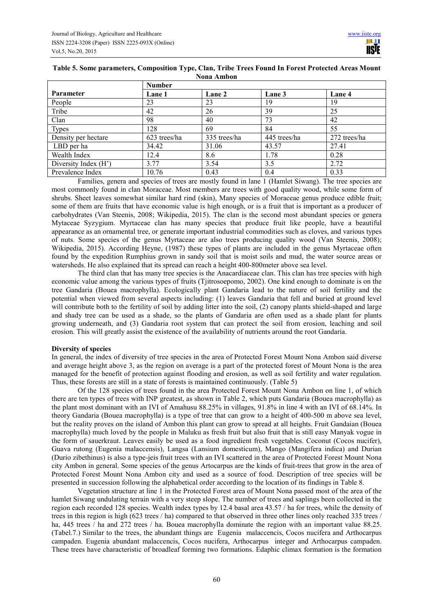|                      | <b>Number</b> |              |              |              |  |
|----------------------|---------------|--------------|--------------|--------------|--|
| Parameter            | Lane 1        | Lane 2       | Lane 3       | Lane 4       |  |
| People               | 23            | 23           | 19           | 19           |  |
| Tribe                | 42            | 26           | 39           | 25           |  |
| Clan                 | 98            | 40           | 73           | 42           |  |
| <b>Types</b>         | 128           | 69           | 84           | 55           |  |
| Density per hectare  | 623 trees/ha  | 335 trees/ha | 445 trees/ha | 272 trees/ha |  |
| LBD per ha           | 34.42         | 31.06        | 43.57        | 27.41        |  |
| Wealth Index         | 12.4          | 8.6          | 1.78         | 0.28         |  |
| Diversity Index (H') | 3.77          | 3.54         | 3.5          | 2.72         |  |
| Prevalence Index     | 10.76         | 0.43         | 0.4          | 0.33         |  |

## **Table 5. Some parameters, Composition Type, Clan, Tribe Trees Found In Forest Protected Areas Mount Nona Ambon**

Families, genera and species of trees are mostly found in lane 1 (Hamlet Siwang). The tree species are most commonly found in clan Moraceae. Most members are trees with good quality wood, while some form of shrubs. Sheet leaves somewhat similar hard rind (skin), Many species of Moraceae genus produce edible fruit; some of them are fruits that have economic value is high enough, or is a fruit that is important as a producer of carbohydrates (Van Steenis, 2008; Wikipedia, 2015). The clan is the second most abundant species or genera Mytaceae Syzygium. Myrtaceae clan has many species that produce fruit like people, have a beautiful appearance as an ornamental tree, or generate important industrial commodities such as cloves, and various types of nuts. Some species of the genus Myrtaceae are also trees producing quality wood (Van Steenis, 2008); Wikipedia, 2015). According Heyne, (1987) these types of plants are included in the genus Myrtaceae often found by the expedition Rumphius grown in sandy soil that is moist soils and mud, the water source areas or watersheds. He also explained that its spread can reach a height 400-800meter above sea level.

The third clan that has many tree species is the Anacardiaceae clan. This clan has tree species with high economic value among the various types of fruits (Tjitrosoepomo, 2002). One kind enough to dominate is on the tree Gandaria (Bouea macrophylla). Ecologically plant Gandaria lead to the nature of soil fertility and the potential when viewed from several aspects including: (1) leaves Gandaria that fell and buried at ground level will contribute both to the fertility of soil by adding litter into the soil, (2) canopy plants shield-shaped and large and shady tree can be used as a shade, so the plants of Gandaria are often used as a shade plant for plants growing underneath, and (3) Gandaria root system that can protect the soil from erosion, leaching and soil erosion. This will greatly assist the existence of the availability of nutrients around the root Gandaria.

# **Diversity of species**

In general, the index of diversity of tree species in the area of Protected Forest Mount Nona Ambon said diverse and average height above 3, as the region on average is a part of the protected forest of Mount Nona is the area managed for the benefit of protection against flooding and erosion, as well as soil fertility and water regulation. Thus, these forests are still in a state of forests is maintained continuously. (Table 5)

Of the 128 species of trees found in the area Protected Forest Mount Nona Ambon on line 1, of which there are ten types of trees with INP greatest, as shown in Table 2, which puts Gandaria (Bouea macrophylla) as the plant most dominant with an IVI of Amahusu 88.25% in villages, 91.8% in line 4 with an IVI of 68.14%. In theory Gandaria (Bouea macrophylla) is a type of tree that can grow to a height of 400-500 m above sea level, but the reality proves on the island of Ambon this plant can grow to spread at all heights. Fruit Gandaian (Bouea macrophylla) much loved by the people in Maluku as fresh fruit but also fruit that is still easy Manyak vogue in the form of sauerkraut. Leaves easily be used as a food ingredient fresh vegetables. Coconut (Cocos nucifer), Guava rutong (Eugenia malaccensis), Langsa (Lansium domesticum), Mango (Mangifera indica) and Durian (Durio zibethinus) is also a type-jeis fruit trees with an IVI scattered in the area of Protected Forest Mount Nona city Ambon in general. Some species of the genus Artocarpus are the kinds of fruit-trees that grow in the area of Protected Forest Mount Nona Ambon city and used as a source of food. Description of tree species will be presented in succession following the alphabetical order according to the location of its findings in Table 8.

Vegetation structure at line 1 in the Protected Forest area of Mount Nona passed most of the area of the hamlet Siwang undulating terrain with a very steep slope. The number of trees and saplings been collected in the region each recorded 128 species. Wealth index types by 12.4 basal area 43.57 / ha for trees, while the density of trees in this region is high (623 trees / ha) compared to that observed in three other lines only reached 335 trees / ha, 445 trees  $\overline{\phantom{a}}$  ha and 272 trees / ha. Bouea macrophylla dominate the region with an important value 88.25. (Tabel.7.) Similar to the trees, the abundant things are Eugenia malaccencis, Cocos nucifera and Arthocarpus campaden. Eugenia abundant malaccencis, Cocos nucifera, Arthocarpus integer and Arthocarpus campaden. These trees have characteristic of broadleaf forming two formations. Edaphic climax formation is the formation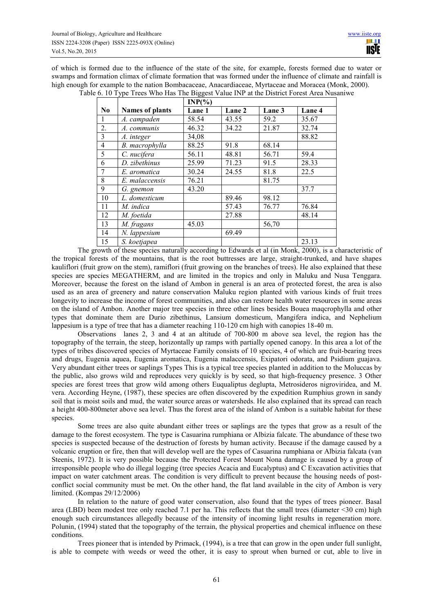of which is formed due to the influence of the state of the site, for example, forests formed due to water or swamps and formation climax of climate formation that was formed under the influence of climate and rainfall is high enough for example to the nation Bombacaceae, Anacardiaceae, Myrtaceae and Moracea (Monk, 2000).

|                |                        | $INP(\% )$ |        |        |        |
|----------------|------------------------|------------|--------|--------|--------|
| N <sub>0</sub> | <b>Names of plants</b> | Lane 1     | Lane 2 | Lane 3 | Lane 4 |
| 1              | A. campaden            | 58.54      | 43.55  | 59.2   | 35.67  |
| 2.             | A. communis            | 46.32      | 34.22  | 21.87  | 32.74  |
| 3              | A. integer             | 34,08      |        |        | 88.82  |
| $\overline{4}$ | B. macrophylla         | 88.25      | 91.8   | 68.14  |        |
| 5              | C. nucifera            | 56.11      | 48.81  | 56.71  | 59.4   |
| 6              | D. zibethinus          | 25.99      | 71.23  | 91.5   | 28.33  |
| 7              | E. aromatica           | 30.24      | 24.55  | 81.8   | 22.5   |
| 8              | E. malaccensis         | 76.21      |        | 81.75  |        |
| 9              | G. gnemon              | 43.20      |        |        | 37.7   |
| 10             | L. domesticum          |            | 89.46  | 98.12  |        |
| 11             | M. indica              |            | 57.43  | 76.77  | 76.84  |
| 12             | M. foetida             |            | 27.88  |        | 48.14  |
| 13             | M. fragans             | 45.03      |        | 56,70  |        |
| 14             | N. lappesium           |            | 69.49  |        |        |
| 15             | S. koetjapea           |            |        |        | 23.13  |

Table 6. 10 Type Trees Who Has The Biggest Value INP at the District Forest Area Nusaniwe

The growth of these species naturally according to Edwards et al (in Monk, 2000), is a characteristic of the tropical forests of the mountains, that is the root buttresses are large, straight-trunked, and have shapes kauliflori (fruit grow on the stem), ramiflori (fruit growing on the branches of trees). He also explained that these species are species MEGATHERM, and are limited in the tropics and only in Maluku and Nusa Tenggara. Moreover, because the forest on the island of Ambon in general is an area of protected forest, the area is also used as an area of greenery and nature conservation Maluku region planted with various kinds of fruit trees longevity to increase the income of forest communities, and also can restore health water resources in some areas on the island of Ambon. Another major tree species in three other lines besides Bouea maqcrophylla and other types that dominate them are Durio zibethinus, Lansium domesticum, Mangifera indica, and Nephelium lappesium is a type of tree that has a diameter reaching 110-120 cm high with canopies 18-40 m.

Observations lanes 2, 3 and 4 at an altitude of 700-800 m above sea level, the region has the topography of the terrain, the steep, horizontally up ramps with partially opened canopy. In this area a lot of the types of tribes discovered species of Myrtaceae Family consists of 10 species, 4 of which are fruit-bearing trees and drugs, Eugenia aquea, Eugenia aromatica, Eugenia malaccensis, Exipatori odorata, and Psidium guajava. Very abundant either trees or saplings Types This is a typical tree species planted in addition to the Moluccas by the public, also grows wild and reproduces very quickly is by seed, so that high-frequency presence. 3 Other species are forest trees that grow wild among others Euqualiptus deglupta, Metrosideros nigroviridea, and M. vera. According Heyne, (1987), these species are often discovered by the expedition Rumphius grown in sandy soil that is moist soils and mud, the water source areas or watersheds. He also explained that its spread can reach a height 400-800meter above sea level. Thus the forest area of the island of Ambon is a suitable habitat for these species.

Some trees are also quite abundant either trees or saplings are the types that grow as a result of the damage to the forest ecosystem. The type is Casuarina rumphiana or Albizia falcate. The abundance of these two species is suspected because of the destruction of forests by human activity. Because if the damage caused by a volcanic eruption or fire, then that will develop well are the types of Casuarina rumphiana or Albizia falcata (van Steenis, 1972). It is very possible because the Protected Forest Mount Nona damage is caused by a group of irresponsible people who do illegal logging (tree species Acacia and Eucalyptus) and C Excavation activities that impact on water catchment areas. The condition is very difficult to prevent because the housing needs of postconflict social community must be met. On the other hand, the flat land available in the city of Ambon is very limited. (Kompas 29/12/2006)

In relation to the nature of good water conservation, also found that the types of trees pioneer. Basal area (LBD) been modest tree only reached 7.1 per ha. This reflects that the small trees (diameter <30 cm) high enough such circumstances allegedly because of the intensity of incoming light results in regeneration more. Polunin, (1994) stated that the topography of the terrain, the physical properties and chemical influence on these conditions.

Trees pioneer that is intended by Primack, (1994), is a tree that can grow in the open under full sunlight, is able to compete with weeds or weed the other, it is easy to sprout when burned or cut, able to live in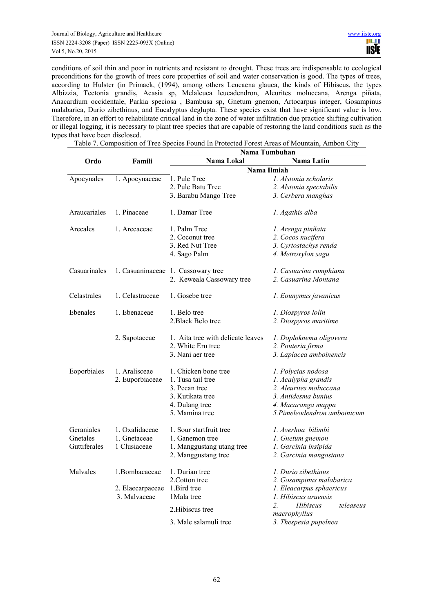conditions of soil thin and poor in nutrients and resistant to drought. These trees are indispensable to ecological preconditions for the growth of trees core properties of soil and water conservation is good. The types of trees, according to Hulster (in Primack, (1994), among others Leucaena glauca, the kinds of Hibiscus, the types Albizzia, Tectonia grandis, Acasia sp, Melaleuca leucadendron, Aleurites moluccana, Arenga piñata, Anacardium occidentale, Parkia speciosa , Bambusa sp, Gnetum gnemon, Artocarpus integer, Gosampinus malabarica, Durio zibethinus, and Eucalyptus deglupta. These species exist that have significant value is low. Therefore, in an effort to rehabilitate critical land in the zone of water infiltration due practice shifting cultivation or illegal logging, it is necessary to plant tree species that are capable of restoring the land conditions such as the types that have been disclosed.

Table 7. Composition of Tree Species Found In Protected Forest Areas of Mountain, Ambon City

**Nama Tumbuhan** 

|              | inama Tumbunan   |                                    |                                             |  |
|--------------|------------------|------------------------------------|---------------------------------------------|--|
| Ordo         | Famili           | Nama Lokal                         | Nama Latin                                  |  |
|              |                  |                                    | Nama Ilmiah                                 |  |
| Apocynales   | 1. Apocynaceae   | 1. Pule Tree                       | 1. Alstonia scholaris                       |  |
|              |                  | 2. Pule Batu Tree                  | 2. Alstonia spectabilis                     |  |
|              |                  | 3. Barabu Mango Tree               | 3. Cerbera manghas                          |  |
| Araucariales | 1. Pinaceae      | 1. Damar Tree                      | 1. Agathis alba                             |  |
| Arecales     | 1. Arecaceae     | 1. Palm Tree                       | 1. Arenga pinñata                           |  |
|              |                  | 2. Coconut tree                    | 2. Cocos nucifera                           |  |
|              |                  | 3. Red Nut Tree                    | 3. Cyrtostachys renda                       |  |
|              |                  | 4. Sago Palm                       | 4. Metroxylon sagu                          |  |
| Casuarinales |                  | 1. Casuaninaceae 1. Cassowary tree | 1. Casuarina rumphiana                      |  |
|              |                  | 2. Keweala Cassowary tree          | 2. Casuarina Montana                        |  |
| Celastrales  | 1. Celastraceae  | 1. Gosebe tree                     | 1. Eounymus javanicus                       |  |
| Ebenales     | 1. Ebenaceae     | 1. Belo tree                       | 1. Diospyros lolin                          |  |
|              |                  | 2. Black Belo tree                 | 2. Diospyros maritime                       |  |
|              | 2. Sapotaceae    | 1. Aita tree with delicate leaves  | 1. Doploknema oligovera                     |  |
|              |                  | 2. White Eru tree                  | 2. Pouteria firma                           |  |
|              |                  | 3. Nani aer tree                   | 3. Laplacea amboinencis                     |  |
| Eoporbiales  | 1. Aralisceae    | 1. Chicken bone tree               | 1. Polycias nodosa                          |  |
|              | 2. Euporbiaceae  | 1. Tusa tail tree                  | 1. Acalypha grandis                         |  |
|              |                  | 3. Pecan tree                      | 2. Aleurites moluccana                      |  |
|              |                  | 3. Kutikata tree                   | 3. Antidesma bunius                         |  |
|              |                  | 4. Dulang tree                     | 4. Macaranga mappa                          |  |
|              |                  | 5. Mamina tree                     | 5.Pimeleodendron amboinicum                 |  |
| Geraniales   | 1. Oxalidaceae   | 1. Sour startfruit tree            | 1. Averhoa bilimbi                          |  |
| Gnetales     | 1. Gnetaceae     | 1. Ganemon tree                    | 1. Gnetum gnemon                            |  |
| Guttiferales | 1 Clusiaceae     | 1. Manggustang utang tree          | 1. Garcinia insipida                        |  |
|              |                  | 2. Manggustang tree                | 2. Garcinia mangostana                      |  |
| Malvales     | 1.Bombacaceae    | 1. Durian tree                     | 1. Durio zibethinus                         |  |
|              |                  | 2. Cotton tree                     | 2. Gosampinus malabarica                    |  |
|              | 2. Elaecarpaceae | 1. Bird tree                       | 1. Eleacarpus sphaericus                    |  |
|              | 3. Malvaceae     | 1 Mala tree                        | 1. Hibiscus aruensis                        |  |
|              |                  | 2. Hibiscus tree                   | 2.<br>Hibiscus<br>teleaseus<br>macrophyllus |  |
|              |                  | 3. Male salamuli tree              | 3. Thespesia pupelnea                       |  |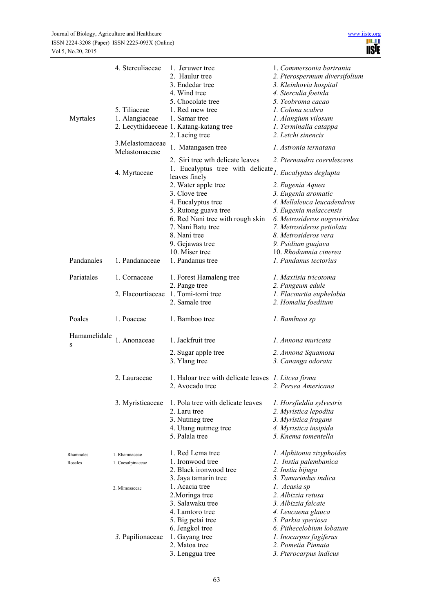| Myrtales             | 4. Sterculiaceae<br>5. Tiliaceae<br>1. Alangiaceae | 1. Jeruwer tree<br>2. Haulur tree<br>3. Endedar tree<br>4. Wind tree<br>5. Chocolate tree<br>1. Red mew tree<br>1. Samar tree                                             | 1. Commersonia bartrania<br>2. Pterospermum diversifolium<br>3. Kleinhovia hospital<br>4. Sterculia foetida<br>5. Teobroma cacao<br>1. Colona scabra<br>1. Alangium vilosum                                     |
|----------------------|----------------------------------------------------|---------------------------------------------------------------------------------------------------------------------------------------------------------------------------|-----------------------------------------------------------------------------------------------------------------------------------------------------------------------------------------------------------------|
|                      |                                                    | 2. Lecythidaeceae 1. Katang-katang tree<br>2. Lacing tree                                                                                                                 | 1. Terminalia catappa<br>2. Letchi sinencis                                                                                                                                                                     |
|                      | 3. Melastomaceae<br>Melastomaceae                  | 1. Matangasen tree                                                                                                                                                        | 1. Astronia ternatana                                                                                                                                                                                           |
|                      | 4. Myrtaceae                                       | 2. Siri tree wth delicate leaves<br>1. Eucalyptus tree with delicate $I$ . Eucalyptus deglupta<br>leaves finely<br>2. Water apple tree                                    | 2. Pternandra coerulescens<br>2. Eugenia Aquea                                                                                                                                                                  |
|                      |                                                    | 3. Clove tree<br>4. Eucalyptus tree<br>5. Rutong guava tree<br>6. Red Nani tree with rough skin<br>7. Nani Batu tree<br>8. Nani tree<br>9. Gejawas tree<br>10. Miser tree | 3. Eugenia aromatic<br>4. Mellaleuca leucadendron<br>5. Eugenia malaccensis<br>6. Metrosideros nogroviridea<br>7. Metrosideros petiolata<br>8. Metrosideros vera<br>9. Psidium guajava<br>10. Rhodamnia cinerea |
| Pandanales           | 1. Pandanaceae                                     | 1. Pandanus tree                                                                                                                                                          | 1. Pandanus tectorius                                                                                                                                                                                           |
| Pariatales           | 1. Cornaceae                                       | 1. Forest Hamaleng tree<br>2. Pange tree                                                                                                                                  | 1. Maxtisia tricotoma<br>2. Pangeum edule                                                                                                                                                                       |
|                      | 2. Flacourtiaceae                                  | 1. Tomi-tomi tree<br>2. Samale tree                                                                                                                                       | 1. Flacourtia euphelobia<br>2. Homalia foeditum                                                                                                                                                                 |
| Poales               | 1. Poaceae                                         | 1. Bamboo tree                                                                                                                                                            | 1. Bambusa sp                                                                                                                                                                                                   |
| Hamamelidale<br>S    | 1. Anonaceae                                       | 1. Jackfruit tree                                                                                                                                                         | 1. Annona muricata                                                                                                                                                                                              |
|                      |                                                    | 2. Sugar apple tree<br>3. Ylang tree                                                                                                                                      | 2. Annona Squamosa<br>3. Cananga odorata                                                                                                                                                                        |
|                      | 2. Lauraceae                                       | 1. Haloar tree with delicate leaves 1. Litcea firma<br>2. Avocado tree                                                                                                    | 2. Persea Americana                                                                                                                                                                                             |
|                      | 3. Myristicaceae                                   | 1. Pola tree with delicate leaves<br>2. Laru tree<br>3. Nutmeg tree<br>4. Utang nutmeg tree<br>5. Palala tree                                                             | 1. Horsfieldia sylvestris<br>2. Myristica lepodita<br>3. Myristica fragans<br>4. Myristica insipida<br>5. Knema tomentella                                                                                      |
| Rhamnales<br>Rosales | 1. Rhamnaceae<br>1. Caesalpinaceae                 | 1. Red Lema tree<br>1. Ironwood tree<br>2. Black ironwood tree<br>3. Jaya tamarin tree                                                                                    | 1. Alphitonia zizyphoides<br>1. Instia palembanica<br>2. Instia bijuga<br>3. Tamarindus indica                                                                                                                  |
|                      | 2. Mimosaceae                                      | 1. Acacia tree<br>2. Moringa tree<br>3. Salawaku tree<br>4. Lamtoro tree<br>5. Big petai tree<br>6. Jengkol tree                                                          | 1. Acasia sp<br>2. Albizzia retusa<br>3. Albizzia falcate<br>4. Leucaena glauca<br>5. Parkia speciosa<br>6. Pithecelobium lobatum                                                                               |
|                      | 3. Papilionaceae                                   | 1. Gayang tree<br>2. Matoa tree<br>3. Lenggua tree                                                                                                                        | 1. Inocarpus fagiferus<br>2. Pometia Pinnata<br>3. Pterocarpus indicus                                                                                                                                          |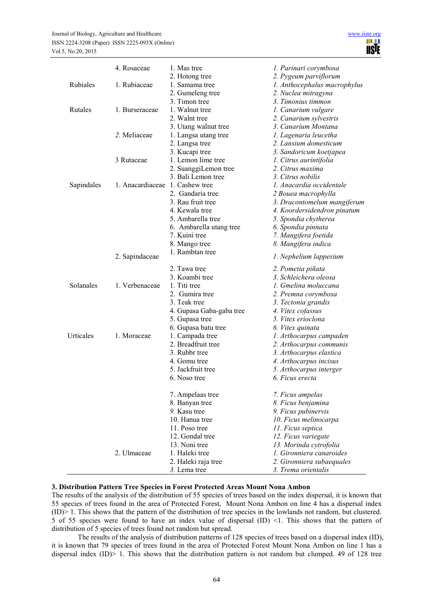|            | 4. Rosaceae                     | 1. Mas tree                      | 1. Parinari corymbosa                                 |
|------------|---------------------------------|----------------------------------|-------------------------------------------------------|
| Rubiales   | 1. Rubiaceae                    | 2. Hotong tree<br>1. Samama tree | 2. Pygeum parviflorum<br>1. Anthocephalus macrophylus |
|            |                                 | 2. Gumeleng tree                 | 2. Nuclea mitragyna                                   |
|            |                                 | 3. Timon tree                    | 3. Timonius timmon                                    |
| Rutales    | 1. Burseraceae                  | 1. Walnut tree                   | 1. Canarium vulgare                                   |
|            |                                 | 2. Walnt tree                    | 2. Canarium sylvestris                                |
|            |                                 | 3. Utang walnut tree             | 3. Canarium Montana                                   |
|            | 2. Meliaceae                    | 1. Langsa utang tree             | 1. Lagenaria leucetha                                 |
|            |                                 | 2. Langsa tree                   | 2. Lansium domesticum                                 |
|            |                                 | 3. Kucapi tree                   | 3. Sandoricum koetjapea                               |
|            | 3 Rutaceae                      | 1. Lemon lime tree               | 1. Citrus aurintifolia                                |
|            |                                 | 2. SuanggiLemon tree             | 2. Citrus maxima                                      |
|            |                                 | 3. Bali Lemon tree               | 3. Citrus nobilis                                     |
| Sapindales | 1. Anacardiaceae 1. Cashew tree |                                  | 1. Anacardia occidentale                              |
|            |                                 | 2. Gandaria tree                 | 2 Bouea macrophylla                                   |
|            |                                 | 3. Rau fruit tree                | 3. Dracontomelum mangiferum                           |
|            |                                 | 4. Kewala tree                   | 4. Koordersidendron pinatum                           |
|            |                                 | 5. Ambarella tree                | 5. Spondia chytherea                                  |
|            |                                 | 6. Ambarella utang tree          | 6. Spondia pinnata                                    |
|            |                                 | 7. Kuini tree                    | 7. Mangifera foetida                                  |
|            |                                 | 8. Mango tree                    | 8. Mangifera indica                                   |
|            |                                 | 1. Rambtan tree                  |                                                       |
|            | 2. Sapindaceae                  |                                  | 1. Nephelium lappesium                                |
|            |                                 | 2. Tawa tree                     | 2. Pometia piñata                                     |
|            |                                 | 3. Koambi tree                   | 3. Schleichera oleosa                                 |
| Solanales  | 1. Verbenaceae                  | 1. Titi tree                     | 1. Gmelina moluccana                                  |
|            |                                 | 2. Gumira tree                   | 2. Premna corymbosa                                   |
|            |                                 | 3. Teak tree                     | 3. Tectonia grandis                                   |
|            |                                 | 4. Gupasa Gaba-gaba tree         | 4. Vitex cofassus                                     |
|            |                                 | 5. Gupasa tree                   | 5. Vitex erioclona                                    |
|            |                                 | 6. Gupasa batu tree              | 6. Vitex quinata                                      |
| Urticales  | 1. Moraceae                     | 1. Campada tree                  | 1. Arthocarpus campaden                               |
|            |                                 | 2. Breadfruit tree               | 2. Arthocarpus communis                               |
|            |                                 | 3. Rubbr tree                    | 3. Arthocarpus elastica                               |
|            |                                 | 4. Gomu tree                     | 4. Arthocarpus incisus                                |
|            |                                 | 5. Jackfruit tree                | 5. Arthocarpus interger                               |
|            |                                 | 6. Noso tree                     | 6. Ficus erecta                                       |
|            |                                 | 7. Ampelaas tree                 | 7. Ficus ampelas                                      |
|            |                                 | 8. Banyan tree                   | 8. Ficus benjamina                                    |
|            |                                 | 9. Kasu tree                     | 9. Ficus pubinervis                                   |
|            |                                 | 10. Hanua tree                   | 10. Ficus melinocarpa                                 |
|            |                                 | 11. Poso tree                    | 11. Ficus septica                                     |
|            |                                 | 12. Gondal tree                  | 12. Ficus variegate                                   |
|            |                                 | 13. Noni tree                    | 13. Morinda cytrofolia                                |
|            | 2. Ulmaceae                     | 1. Haleki tree                   | 1. Gironniera canaroides                              |
|            |                                 | 2. Haleki raja tree              | 2. Gironniera subaequales                             |
|            |                                 | 3. Lema tree                     | 3. Trema orientalis                                   |

#### **3. Distribution Pattern Tree Species in Forest Protected Areas Mount Nona Ambon**

The results of the analysis of the distribution of 55 species of trees based on the index dispersal, it is known that 55 species of trees found in the area of Protected Forest, Mount Nona Ambon on line 4 has a dispersal index (ID)> 1. This shows that the pattern of the distribution of tree species in the lowlands not random, but clustered. 5 of 55 species were found to have an index value of dispersal (ID) <1. This shows that the pattern of distribution of 5 species of trees found not random but spread.

The results of the analysis of distribution patterns of 128 species of trees based on a dispersal index (ID), it is known that 79 species of trees found in the area of Protected Forest Mount Nona Ambon on line 1 has a dispersal index  $(ID)$  1. This shows that the distribution pattern is not random but clumped. 49 of 128 tree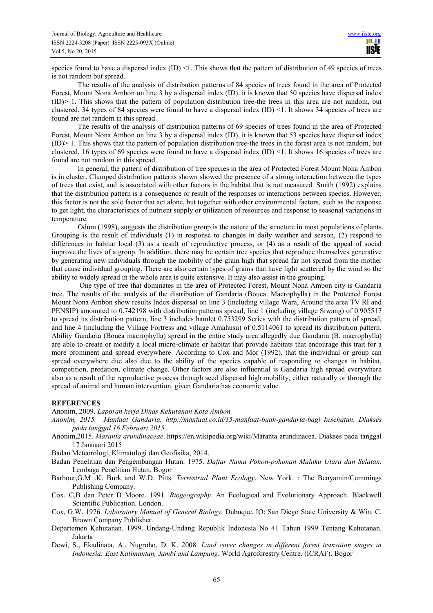species found to have a dispersal index (ID) <1. This shows that the pattern of distribution of 49 species of trees is not random but spread.

The results of the analysis of distribution patterns of 84 species of trees found in the area of Protected Forest, Mount Nona Ambon on line 3 by a dispersal index (ID), it is known that 50 species have dispersal index (ID)> 1. This shows that the pattern of population distribution tree-the trees in this area are not random, but clustered. 34 types of 84 species were found to have a dispersal index (ID)  $\leq$  1. It shows 34 species of trees are found are not random in this spread.

The results of the analysis of distribution patterns of 69 species of trees found in the area of Protected Forest, Mount Nona Ambon on line 3 by a dispersal index (ID), it is known that 53 species have dispersal index  $(ID)$  = 1. This shows that the pattern of population distribution tree-the trees in the forest area is not random, but clustered. 16 types of 69 species were found to have a dispersal index (ID)  $\leq$  1. It shows 16 species of trees are found are not random in this spread.

In general, the pattern of distribution of tree species in the area of Protected Forest Mount Nona Ambon is in cluster. Clumped distribution patterns shown showed the presence of a strong interaction between the types of trees that exist, and is associated with other factors in the habitat that is not measured. Smith (1992) explains that the distribution pattern is a consequence or result of the responses or interactions between species. However, this factor is not the sole factor that act alone, but together with other environmental factors, such as the response to get light, the characteristics of nutrient supply or utilization of resources and response to seasonal variations in temperature.

Odum (1998), suggests the distribution group is the nature of the structure in most populations of plants. Grouping is the result of individuals (1) in response to changes in daily weather and season, (2) respond to differences in habitat local (3) as a result of reproductive process, or (4) as a result of the appeal of social improve the lives of a group. In addition, there may be certain tree species that reproduce themselves generative by generating new individuals through the mobility of the grain high that spread far not spread from the mother that cause individual grouping. There are also certain types of grains that have light scattered by the wind so the ability to widely spread in the whole area is quite extensive. It may also assist in the grouping.

 One type of tree that dominates in the area of Protected Forest, Mount Nona Ambon city is Gandaria tree. The results of the analysis of the distribution of Gandaria (Bouea. Macrophylla) in the Protected Forest Mount Nona Ambon show results Index dispersal on line 3 (including village Wara, Around the area TV RI and PENSIP) amounted to 0.742198 with distribution patterns spread, line 1 (including village Siwang) of 0.905517 to spread its distribution pattern, line 3 includes hamlet 0.753299 Series with the distribution pattern of spread, and line 4 (including the Village Fortress and village Amahusu) of 0.5114061 to spread its distribution pattern. Ability Gandaria (Bouea macrophylla) spread in the entire study area allegedly due Gandaria (B. macrophylla) are able to create or modify a local micro-climate or habitat that provide habitats that encourage this trait for a more prominent and spread everywhere. According to Cox and Mor (1992), that the individual or group can spread everywhere due also due to the ability of the species capable of responding to changes in habitat, competition, predation, climate change. Other factors are also influential is Gandaria high spread everywhere also as a result of the reproductive process through seed dispersal high mobility, either naturally or through the spread of animal and human intervention, given Gandaria has economic value.

# **REFERENCES**

Anonim, 2009. *Laporan kerja Dinas Kehutanan Kota Ambon* 

- *Anonim, 2015. Manfaat Gandaria. http://manfaat.co.id/15-manfaat-buah-gandaria-bagi kesehatan. Diakses pada tanggal 16 Februari 2015*
- Anonim,2015. *Maranta arundinaceae*. https://en.wikipedia.org/wiki/Maranta arundinacea. Diakses pada tanggal 17 Januaari 2015
- Badan Meteorologi, Klimatologi dan Geofisika, 2014.
- Badan Penelitian dan Pengembangan Hutan. 1975. *Daftar Nama Pohon-pohonan Maluku Utara dan Selatan*. Lembaga Penelitian Hutan. Bogor
- Barbour,G.M .K. Burk and W.D. Pitts. *Terrestrial Plant Ecology*. New York. : The Benyamin/Cummings Publishing Company.
- Cox. C,B dan Peter D Moore. 1991. *Biogeography.* An Ecological and Evolutionary Approach. Blackwell Scientific Publication. London.
- Cox, G.W. 1976. *Laboratory Manual of General Biology.* Dubuque, IO: San Diego State University & Win. C. Brown Company Publisher.
- Departemen Kehutanan. 1999. Undang-Undang Republik Indonesia No 41 Tahun 1999 Tentang Kehutanan. Jakarta
- Dewi, S., Ekadinata, A., Nugroho, D. K. 2008. *Land cover changes in different forest transition stages in Indonesia: East Kalimantan, Jambi and Lampung*. World Agroforestry Centre. (ICRAF). Bogor